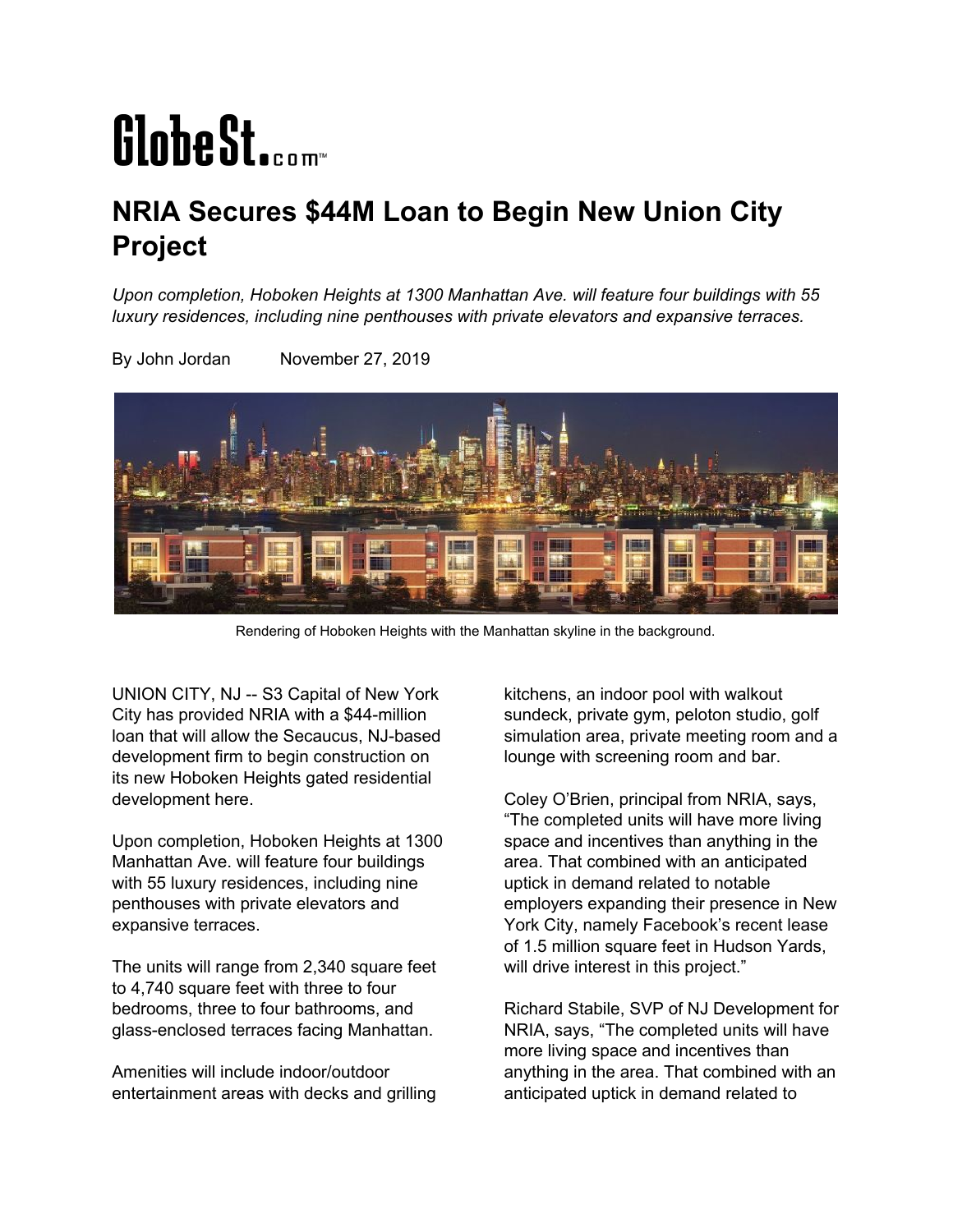## GlobeSt.com

## **NRIA Secures \$44M Loan to Begin New Union City Project**

*Upon completion, Hoboken Heights at 1300 Manhattan Ave. will feature four buildings with 55 luxury residences, including nine penthouses with private elevators and expansive terraces.*

By John Jordan November 27, 2019



Rendering of Hoboken Heights with the Manhattan skyline in the background.

UNION CITY, NJ -- S3 Capital of New York City has provided NRIA with a \$44-million loan that will allow the Secaucus, NJ-based development firm to begin construction on its new Hoboken Heights gated residential development here.

Upon completion, Hoboken Heights at 1300 Manhattan Ave. will feature four buildings with 55 luxury residences, including nine penthouses with private elevators and expansive terraces.

The units will range from 2,340 square feet to 4,740 square feet with three to four bedrooms, three to four bathrooms, and glass-enclosed terraces facing Manhattan.

Amenities will include indoor/outdoor entertainment areas with decks and grilling kitchens, an indoor pool with walkout sundeck, private gym, peloton studio, golf simulation area, private meeting room and a lounge with screening room and bar.

Coley O'Brien, principal from NRIA, says, "The completed units will have more living space and incentives than anything in the area. That combined with an anticipated uptick in demand related to notable employers expanding their presence in New York City, namely Facebook's recent lease of 1.5 million square feet in Hudson Yards, will drive interest in this project."

Richard Stabile, SVP of NJ Development for NRIA, says, "The completed units will have more living space and incentives than anything in the area. That combined with an anticipated uptick in demand related to